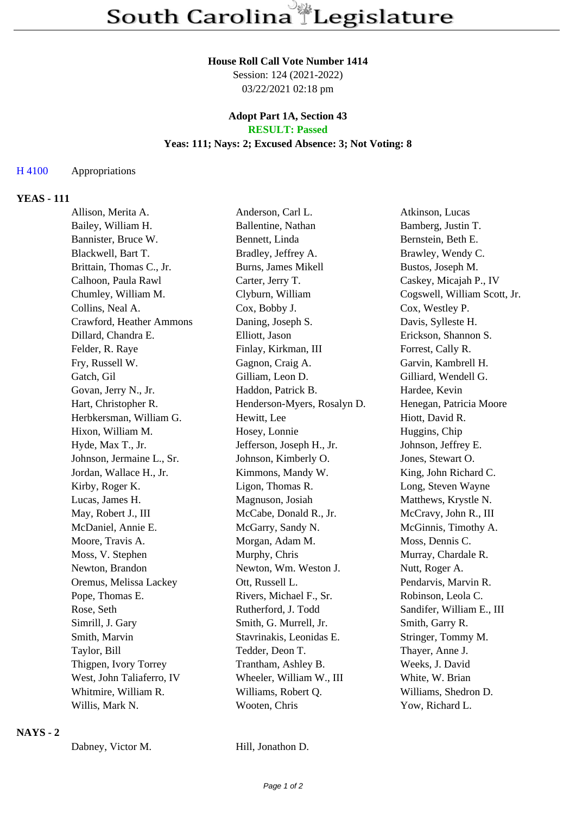#### **House Roll Call Vote Number 1414**

Session: 124 (2021-2022) 03/22/2021 02:18 pm

#### **Adopt Part 1A, Section 43 RESULT: Passed**

## **Yeas: 111; Nays: 2; Excused Absence: 3; Not Voting: 8**

## H 4100 Appropriations

## **YEAS - 111**

| Allison, Merita A.        | Anderson, Carl L.           | Atkinson, Lucas              |
|---------------------------|-----------------------------|------------------------------|
| Bailey, William H.        | Ballentine, Nathan          | Bamberg, Justin T.           |
| Bannister, Bruce W.       | Bennett, Linda              | Bernstein, Beth E.           |
| Blackwell, Bart T.        | Bradley, Jeffrey A.         | Brawley, Wendy C.            |
| Brittain, Thomas C., Jr.  | Burns, James Mikell         | Bustos, Joseph M.            |
| Calhoon, Paula Rawl       | Carter, Jerry T.            | Caskey, Micajah P., IV       |
| Chumley, William M.       | Clyburn, William            | Cogswell, William Scott, Jr. |
| Collins, Neal A.          | Cox, Bobby J.               | Cox, Westley P.              |
| Crawford, Heather Ammons  | Daning, Joseph S.           | Davis, Sylleste H.           |
| Dillard, Chandra E.       | Elliott, Jason              | Erickson, Shannon S.         |
| Felder, R. Raye           | Finlay, Kirkman, III        | Forrest, Cally R.            |
| Fry, Russell W.           | Gagnon, Craig A.            | Garvin, Kambrell H.          |
| Gatch, Gil                | Gilliam, Leon D.            | Gilliard, Wendell G.         |
| Govan, Jerry N., Jr.      | Haddon, Patrick B.          | Hardee, Kevin                |
| Hart, Christopher R.      | Henderson-Myers, Rosalyn D. | Henegan, Patricia Moore      |
| Herbkersman, William G.   | Hewitt, Lee                 | Hiott, David R.              |
| Hixon, William M.         | Hosey, Lonnie               | Huggins, Chip                |
| Hyde, Max T., Jr.         | Jefferson, Joseph H., Jr.   | Johnson, Jeffrey E.          |
| Johnson, Jermaine L., Sr. | Johnson, Kimberly O.        | Jones, Stewart O.            |
| Jordan, Wallace H., Jr.   | Kimmons, Mandy W.           | King, John Richard C.        |
| Kirby, Roger K.           | Ligon, Thomas R.            | Long, Steven Wayne           |
| Lucas, James H.           | Magnuson, Josiah            | Matthews, Krystle N.         |
| May, Robert J., III       | McCabe, Donald R., Jr.      | McCravy, John R., III        |
| McDaniel, Annie E.        | McGarry, Sandy N.           | McGinnis, Timothy A.         |
| Moore, Travis A.          | Morgan, Adam M.             | Moss, Dennis C.              |
| Moss, V. Stephen          | Murphy, Chris               | Murray, Chardale R.          |
| Newton, Brandon           | Newton, Wm. Weston J.       | Nutt, Roger A.               |
| Oremus, Melissa Lackey    | Ott, Russell L.             | Pendarvis, Marvin R.         |
| Pope, Thomas E.           | Rivers, Michael F., Sr.     | Robinson, Leola C.           |
| Rose, Seth                | Rutherford, J. Todd         | Sandifer, William E., III    |
| Simrill, J. Gary          | Smith, G. Murrell, Jr.      | Smith, Garry R.              |
| Smith, Marvin             | Stavrinakis, Leonidas E.    | Stringer, Tommy M.           |
| Taylor, Bill              | Tedder, Deon T.             | Thayer, Anne J.              |
| Thigpen, Ivory Torrey     | Trantham, Ashley B.         | Weeks, J. David              |
| West, John Taliaferro, IV | Wheeler, William W., III    | White, W. Brian              |
| Whitmire, William R.      | Williams, Robert Q.         | Williams, Shedron D.         |
| Willis, Mark N.           | Wooten, Chris               | Yow, Richard L.              |
|                           |                             |                              |

#### **NAYS - 2**

Hill, Jonathon D.